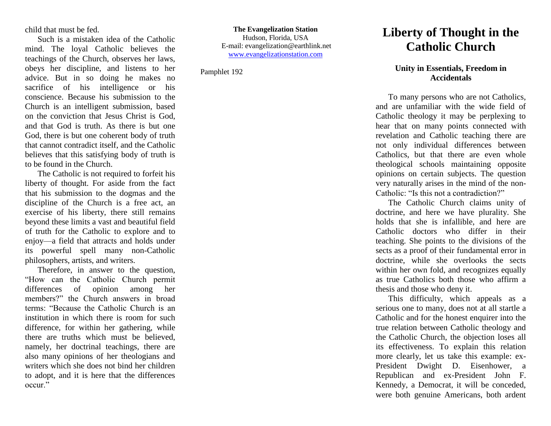child that must be fed.

Such is a mistaken idea of the Catholic mind. The loyal Catholic believes the teachings of the Church, observes her laws, obeys her discipline, and listens to her advice. But in so doing he makes no sacrifice of his intelligence or his conscience. Because his submission to the Church is an intelligent submission, based on the conviction that Jesus Christ is God, and that God is truth. As there is but one God, there is but one coherent body of truth that cannot contradict itself, and the Catholic believes that this satisfying body of truth is to be found in the Church.

The Catholic is not required to forfeit his liberty of thought. For aside from the fact that his submission to the dogmas and the discipline of the Church is a free act, an exercise of his liberty, there still remains beyond these limits a vast and beautiful field of truth for the Catholic to explore and to enjoy—a field that attracts and holds under its powerful spell many non-Catholic philosophers, artists, and writers.

Therefore, in answer to the question, "How can the Catholic Church permit differences of opinion among her members?" the Church answers in broad terms: "Because the Catholic Church is an institution in which there is room for such difference, for within her gathering, while there are truths which must be believed, namely, her doctrinal teachings, there are also many opinions of her theologians and writers which she does not bind her children to adopt, and it is here that the differences occur."

**The Evangelization Station** Hudson, Florida, USA E-mail: evangelization@earthlink.net [www.evangelizationstation.com](http://www.pjpiisoe.org/)

Pamphlet 192

## **Liberty of Thought in the Catholic Church**

## **Unity in Essentials, Freedom in Accidentals**

To many persons who are not Catholics, and are unfamiliar with the wide field of Catholic theology it may be perplexing to hear that on many points connected with revelation and Catholic teaching there are not only individual differences between Catholics, but that there are even whole theological schools maintaining opposite opinions on certain subjects. The question very naturally arises in the mind of the non-Catholic: "Is this not a contradiction?"

The Catholic Church claims unity of doctrine, and here we have plurality. She holds that she is infallible, and here are Catholic doctors who differ in their teaching. She points to the divisions of the sects as a proof of their fundamental error in doctrine, while she overlooks the sects within her own fold, and recognizes equally as true Catholics both those who affirm a thesis and those who deny it.

This difficulty, which appeals as a serious one to many, does not at all startle a Catholic and for the honest enquirer into the true relation between Catholic theology and the Catholic Church, the objection loses all its effectiveness. To explain this relation more clearly, let us take this example: ex-President Dwight D. Eisenhower, a Republican and ex-President John F. Kennedy, a Democrat, it will be conceded, were both genuine Americans, both ardent